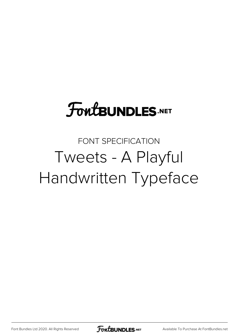## **FoutBUNDLES.NET**

## FONT SPECIFICATION Tweets - A Playful Handwritten Typeface

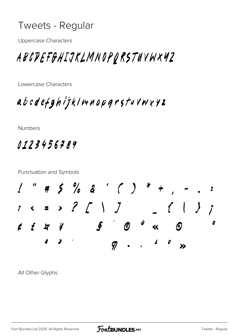## Tweets - Regular

**Uppercase Characters** 

## ABCDEFGHIJKLMNOPQRSTUVWX4Z

Lowercase Characters

abcdefghijklmnopgrstuvwxyz

Numbers

0123456789

**Punctuation and Symbols** 



All Other Glyphs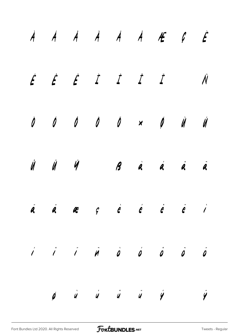|  |  |  | $\dot{A}$ $\dot{A}$ $\dot{A}$ $\dot{A}$ $\dot{A}$ $\dot{A}$ $\ddot{E}$ $\dot{C}$ |  |
|--|--|--|----------------------------------------------------------------------------------|--|
|  |  |  | É É É I I I I N                                                                  |  |
|  |  |  |                                                                                  |  |
|  |  |  | $\hat{U}$ $\hat{U}$ $\hat{V}$ $\hat{B}$ $\hat{a}$ $\hat{a}$ $\hat{a}$ $\hat{a}$  |  |
|  |  |  | <mark>a a a</mark> g è é é ë i                                                   |  |
|  |  |  |                                                                                  |  |
|  |  |  | $\vec{p}$ $\vec{u}$ $\vec{u}$ $\vec{u}$ $\vec{y}$ $\vec{y}$                      |  |